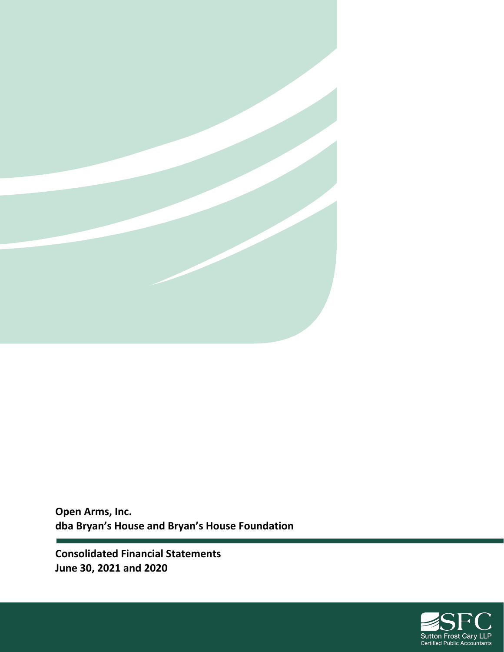

**Open Arms, Inc. dba Bryan's House and Bryan's House Foundation** 

**Consolidated Financial Statements June 30, 2021 and 2020**

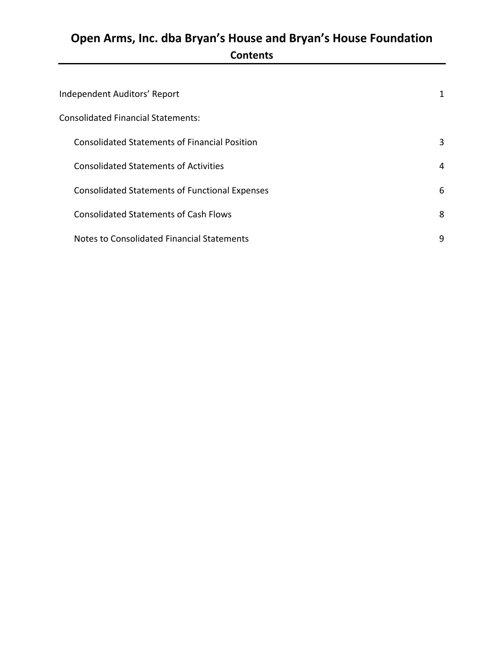# **Open Arms, Inc. dba Bryan's House and Bryan's House Foundation Contents**

| Independent Auditors' Report                          | 1 |
|-------------------------------------------------------|---|
| <b>Consolidated Financial Statements:</b>             |   |
| <b>Consolidated Statements of Financial Position</b>  | 3 |
| <b>Consolidated Statements of Activities</b>          | 4 |
| <b>Consolidated Statements of Functional Expenses</b> | 6 |
| <b>Consolidated Statements of Cash Flows</b>          | 8 |
| Notes to Consolidated Financial Statements            | 9 |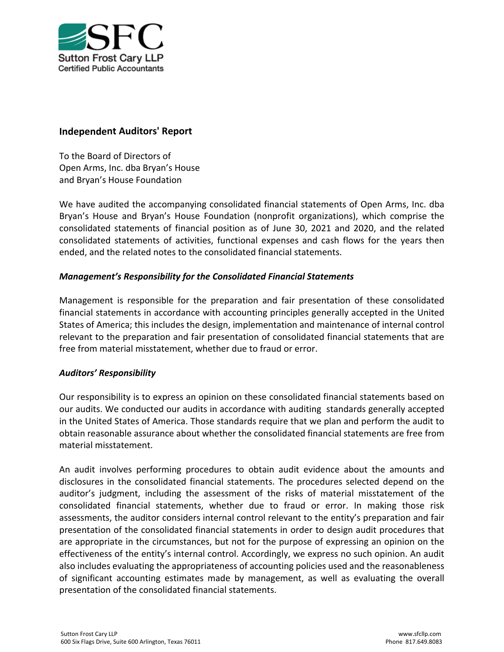

#### **Independent Auditors' Report**

To the Board of Directors of Open Arms, Inc. dba Bryan's House and Bryan's House Foundation

We have audited the accompanying consolidated financial statements of Open Arms, Inc. dba Bryan's House and Bryan's House Foundation (nonprofit organizations), which comprise the consolidated statements of financial position as of June 30, 2021 and 2020, and the related consolidated statements of activities, functional expenses and cash flows for the years then ended, and the related notes to the consolidated financial statements.

#### *Management's Responsibility for the Consolidated Financial Statements*

Management is responsible for the preparation and fair presentation of these consolidated financial statements in accordance with accounting principles generally accepted in the United States of America; this includes the design, implementation and maintenance of internal control relevant to the preparation and fair presentation of consolidated financial statements that are free from material misstatement, whether due to fraud or error.

#### *Auditors' Responsibility*

Our responsibility is to express an opinion on these consolidated financial statements based on our audits. We conducted our audits in accordance with auditing standards generally accepted in the United States of America. Those standards require that we plan and perform the audit to obtain reasonable assurance about whether the consolidated financial statements are free from material misstatement.

An audit involves performing procedures to obtain audit evidence about the amounts and disclosures in the consolidated financial statements. The procedures selected depend on the auditor's judgment, including the assessment of the risks of material misstatement of the consolidated financial statements, whether due to fraud or error. In making those risk assessments, the auditor considers internal control relevant to the entity's preparation and fair presentation of the consolidated financial statements in order to design audit procedures that are appropriate in the circumstances, but not for the purpose of expressing an opinion on the effectiveness of the entity's internal control. Accordingly, we express no such opinion. An audit also includes evaluating the appropriateness of accounting policies used and the reasonableness of significant accounting estimates made by management, as well as evaluating the overall presentation of the consolidated financial statements.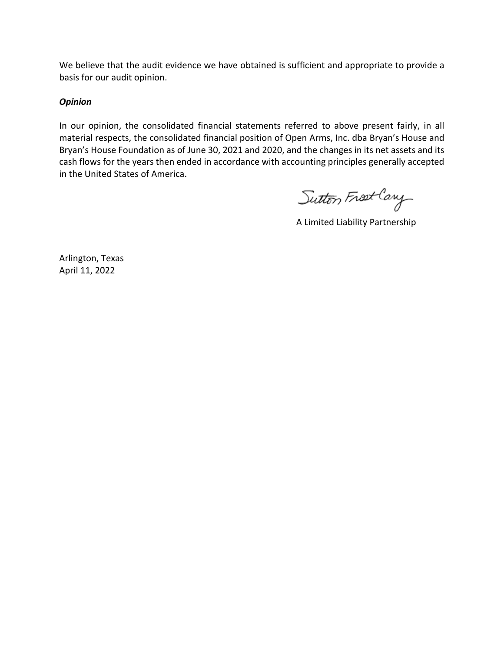We believe that the audit evidence we have obtained is sufficient and appropriate to provide a basis for our audit opinion.

#### *Opinion*

In our opinion, the consolidated financial statements referred to above present fairly, in all material respects, the consolidated financial position of Open Arms, Inc. dba Bryan's House and Bryan's House Foundation as of June 30, 2021 and 2020, and the changes in its net assets and its cash flows for the years then ended in accordance with accounting principles generally accepted in the United States of America.

Sutton Frost Cary

A Limited Liability Partnership

Arlington, Texas April 11, 2022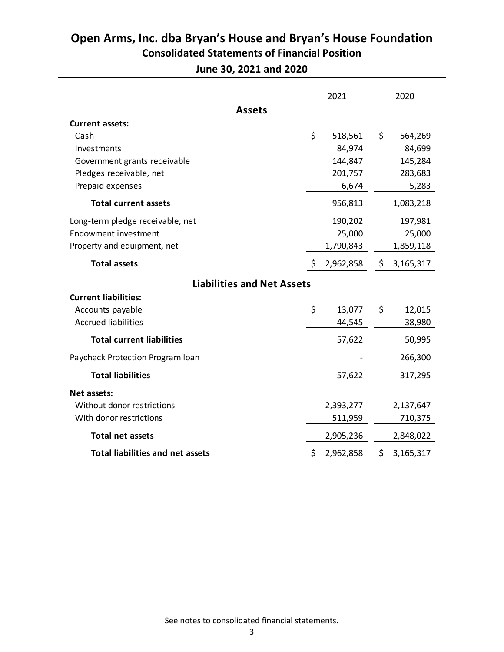## **Open Arms, Inc. dba Bryan's House and Bryan's House Foundation Consolidated Statements of Financial Position**

**June 30, 2021 and 2020** 

|                                         | 2021            |     | 2020      |
|-----------------------------------------|-----------------|-----|-----------|
| <b>Assets</b>                           |                 |     |           |
| <b>Current assets:</b>                  |                 |     |           |
| Cash                                    | \$<br>518,561   | \$  | 564,269   |
| Investments                             | 84,974          |     | 84,699    |
| Government grants receivable            | 144,847         |     | 145,284   |
| Pledges receivable, net                 | 201,757         |     | 283,683   |
| Prepaid expenses                        | 6,674           |     | 5,283     |
| <b>Total current assets</b>             | 956,813         |     | 1,083,218 |
| Long-term pledge receivable, net        | 190,202         |     | 197,981   |
| <b>Endowment investment</b>             | 25,000          |     | 25,000    |
| Property and equipment, net             | 1,790,843       |     | 1,859,118 |
| <b>Total assets</b>                     | \$<br>2,962,858 | \$. | 3,165,317 |
| <b>Liabilities and Net Assets</b>       |                 |     |           |
| <b>Current liabilities:</b>             |                 |     |           |
| Accounts payable                        | \$<br>13,077    | \$  | 12,015    |
| <b>Accrued liabilities</b>              | 44,545          |     | 38,980    |
| <b>Total current liabilities</b>        | 57,622          |     | 50,995    |
| Paycheck Protection Program Ioan        |                 |     | 266,300   |
| <b>Total liabilities</b>                | 57,622          |     | 317,295   |
| Net assets:                             |                 |     |           |
| Without donor restrictions              | 2,393,277       |     | 2,137,647 |
| With donor restrictions                 | 511,959         |     | 710,375   |
| <b>Total net assets</b>                 | 2,905,236       |     | 2,848,022 |
| <b>Total liabilities and net assets</b> | \$<br>2,962,858 | \$  | 3,165,317 |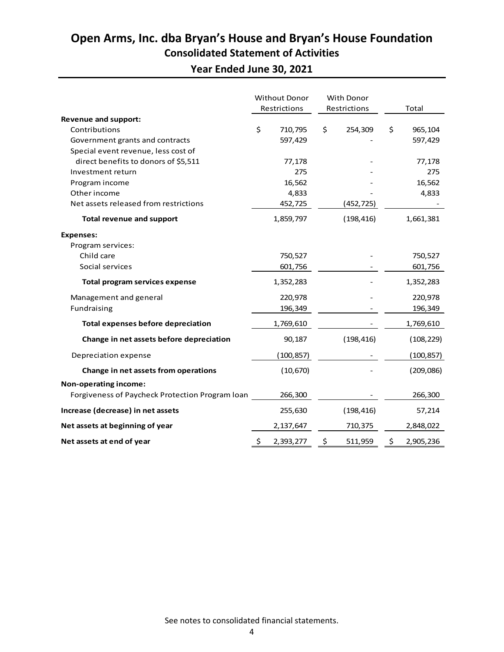## **Open Arms, Inc. dba Bryan's House and Bryan's House Foundation Consolidated Statement of Activities**

**Year Ended June 30, 2021** 

|                                                 | <b>Without Donor</b><br>Restrictions |            | <b>With Donor</b><br>Restrictions |            | Total           |
|-------------------------------------------------|--------------------------------------|------------|-----------------------------------|------------|-----------------|
| <b>Revenue and support:</b>                     |                                      |            |                                   |            |                 |
| Contributions                                   | \$                                   | 710,795    | \$                                | 254,309    | \$<br>965,104   |
| Government grants and contracts                 |                                      | 597,429    |                                   |            | 597,429         |
| Special event revenue, less cost of             |                                      |            |                                   |            |                 |
| direct benefits to donors of \$5,511            |                                      | 77,178     |                                   |            | 77,178          |
| Investment return                               |                                      | 275        |                                   |            | 275             |
| Program income                                  |                                      | 16,562     |                                   |            | 16,562          |
| Other income                                    |                                      | 4,833      |                                   |            | 4,833           |
| Net assets released from restrictions           |                                      | 452,725    |                                   | (452,725)  |                 |
| <b>Total revenue and support</b>                |                                      | 1,859,797  |                                   | (198, 416) | 1,661,381       |
| <b>Expenses:</b>                                |                                      |            |                                   |            |                 |
| Program services:                               |                                      |            |                                   |            |                 |
| Child care                                      |                                      | 750,527    |                                   |            | 750,527         |
| Social services                                 |                                      | 601,756    |                                   |            | 601,756         |
| Total program services expense                  |                                      | 1,352,283  |                                   |            | 1,352,283       |
| Management and general                          |                                      | 220,978    |                                   |            | 220,978         |
| Fundraising                                     |                                      | 196,349    |                                   |            | 196,349         |
| <b>Total expenses before depreciation</b>       |                                      | 1,769,610  |                                   |            | 1,769,610       |
| Change in net assets before depreciation        |                                      | 90,187     |                                   | (198, 416) | (108, 229)      |
| Depreciation expense                            |                                      | (100, 857) |                                   |            | (100, 857)      |
| Change in net assets from operations            |                                      | (10, 670)  |                                   |            | (209, 086)      |
| Non-operating income:                           |                                      |            |                                   |            |                 |
| Forgiveness of Paycheck Protection Program Ioan |                                      | 266,300    |                                   |            | 266,300         |
| Increase (decrease) in net assets               |                                      | 255,630    |                                   | (198, 416) | 57,214          |
| Net assets at beginning of year                 |                                      | 2,137,647  |                                   | 710,375    | 2,848,022       |
| Net assets at end of year                       | \$                                   | 2,393,277  | \$                                | 511,959    | \$<br>2,905,236 |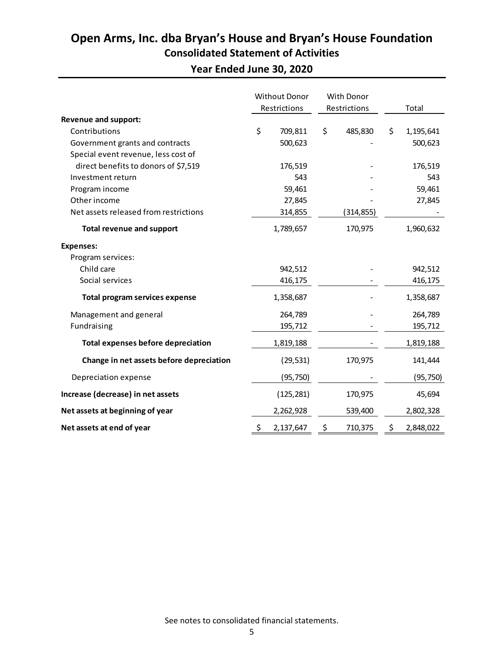## **Open Arms, Inc. dba Bryan's House and Bryan's House Foundation Consolidated Statement of Activities**

**Year Ended June 30, 2020**

|                                           | <b>Without Donor</b><br>Restrictions |            | With Donor<br>Restrictions |            | Total           |
|-------------------------------------------|--------------------------------------|------------|----------------------------|------------|-----------------|
| <b>Revenue and support:</b>               |                                      |            |                            |            |                 |
| Contributions                             | \$                                   | 709,811    | \$                         | 485,830    | \$<br>1,195,641 |
| Government grants and contracts           |                                      | 500,623    |                            |            | 500,623         |
| Special event revenue, less cost of       |                                      |            |                            |            |                 |
| direct benefits to donors of \$7,519      |                                      | 176,519    |                            |            | 176,519         |
| Investment return                         |                                      | 543        |                            |            | 543             |
| Program income                            |                                      | 59,461     |                            |            | 59,461          |
| Other income                              |                                      | 27,845     |                            |            | 27,845          |
| Net assets released from restrictions     |                                      | 314,855    |                            | (314, 855) |                 |
| <b>Total revenue and support</b>          |                                      | 1,789,657  |                            | 170,975    | 1,960,632       |
| <b>Expenses:</b>                          |                                      |            |                            |            |                 |
| Program services:                         |                                      |            |                            |            |                 |
| Child care                                |                                      | 942,512    |                            |            | 942,512         |
| Social services                           |                                      | 416,175    |                            |            | 416,175         |
| <b>Total program services expense</b>     |                                      | 1,358,687  |                            |            | 1,358,687       |
| Management and general                    |                                      | 264,789    |                            |            | 264,789         |
| Fundraising                               |                                      | 195,712    |                            |            | 195,712         |
| <b>Total expenses before depreciation</b> |                                      | 1,819,188  |                            |            | 1,819,188       |
| Change in net assets before depreciation  |                                      | (29, 531)  |                            | 170,975    | 141,444         |
| Depreciation expense                      |                                      | (95, 750)  |                            |            | (95, 750)       |
| Increase (decrease) in net assets         |                                      | (125, 281) |                            | 170,975    | 45,694          |
| Net assets at beginning of year           |                                      | 2,262,928  |                            | 539,400    | 2,802,328       |
| Net assets at end of year                 | \$                                   | 2,137,647  | \$                         | 710,375    | \$<br>2,848,022 |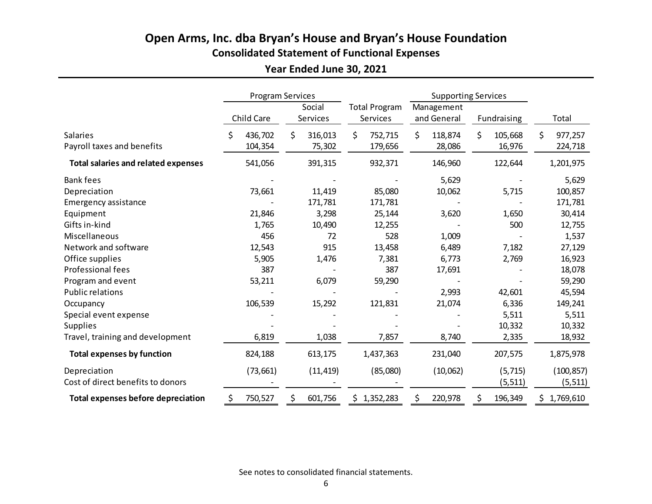## **Open Arms, Inc. dba Bryan's House and Bryan's House Foundation Consolidated Statement of Functional Expenses**

## **Year Ended June 30, 2021**

|                                            |    | <b>Program Services</b> |    |                    |    |             |    | <b>Supporting Services</b> |     |          |               |  |  |                                  |  |                           |  |             |       |
|--------------------------------------------|----|-------------------------|----|--------------------|----|-------------|----|----------------------------|-----|----------|---------------|--|--|----------------------------------|--|---------------------------|--|-------------|-------|
|                                            |    | Child Care              |    | Social<br>Services |    |             |    |                            |     |          |               |  |  | <b>Total Program</b><br>Services |  | Management<br>and General |  | Fundraising | Total |
| <b>Salaries</b>                            | Ś. | 436,702                 | \$ | 316,013            | \$ | 752,715     | \$ | 118,874                    | \$  | 105,668  | \$<br>977,257 |  |  |                                  |  |                           |  |             |       |
| Payroll taxes and benefits                 |    | 104,354                 |    | 75,302             |    | 179,656     |    | 28,086                     |     | 16,976   | 224,718       |  |  |                                  |  |                           |  |             |       |
| <b>Total salaries and related expenses</b> |    | 541,056                 |    | 391,315            |    | 932,371     |    | 146,960                    |     | 122,644  | 1,201,975     |  |  |                                  |  |                           |  |             |       |
| <b>Bank fees</b>                           |    |                         |    |                    |    |             |    | 5,629                      |     |          | 5,629         |  |  |                                  |  |                           |  |             |       |
| Depreciation                               |    | 73,661                  |    | 11,419             |    | 85,080      |    | 10,062                     |     | 5,715    | 100,857       |  |  |                                  |  |                           |  |             |       |
| <b>Emergency assistance</b>                |    |                         |    | 171,781            |    | 171,781     |    |                            |     |          | 171,781       |  |  |                                  |  |                           |  |             |       |
| Equipment                                  |    | 21,846                  |    | 3,298              |    | 25,144      |    | 3,620                      |     | 1,650    | 30,414        |  |  |                                  |  |                           |  |             |       |
| Gifts in-kind                              |    | 1,765                   |    | 10,490             |    | 12,255      |    |                            |     | 500      | 12,755        |  |  |                                  |  |                           |  |             |       |
| Miscellaneous                              |    | 456                     |    | 72                 |    | 528         |    | 1,009                      |     |          | 1,537         |  |  |                                  |  |                           |  |             |       |
| Network and software                       |    | 12,543                  |    | 915                |    | 13,458      |    | 6,489                      |     | 7,182    | 27,129        |  |  |                                  |  |                           |  |             |       |
| Office supplies                            |    | 5,905                   |    | 1,476              |    | 7,381       |    | 6,773                      |     | 2,769    | 16,923        |  |  |                                  |  |                           |  |             |       |
| Professional fees                          |    | 387                     |    |                    |    | 387         |    | 17,691                     |     |          | 18,078        |  |  |                                  |  |                           |  |             |       |
| Program and event                          |    | 53,211                  |    | 6,079              |    | 59,290      |    |                            |     |          | 59,290        |  |  |                                  |  |                           |  |             |       |
| <b>Public relations</b>                    |    |                         |    |                    |    |             |    | 2,993                      |     | 42,601   | 45,594        |  |  |                                  |  |                           |  |             |       |
| Occupancy                                  |    | 106,539                 |    | 15,292             |    | 121,831     |    | 21,074                     |     | 6,336    | 149,241       |  |  |                                  |  |                           |  |             |       |
| Special event expense                      |    |                         |    |                    |    |             |    |                            |     | 5,511    | 5,511         |  |  |                                  |  |                           |  |             |       |
| <b>Supplies</b>                            |    |                         |    |                    |    |             |    |                            |     | 10,332   | 10,332        |  |  |                                  |  |                           |  |             |       |
| Travel, training and development           |    | 6,819                   |    | 1,038              |    | 7,857       |    | 8,740                      |     | 2,335    | 18,932        |  |  |                                  |  |                           |  |             |       |
| <b>Total expenses by function</b>          |    | 824,188                 |    | 613,175            |    | 1,437,363   |    | 231,040                    |     | 207,575  | 1,875,978     |  |  |                                  |  |                           |  |             |       |
| Depreciation                               |    | (73, 661)               |    | (11, 419)          |    | (85,080)    |    | (10,062)                   |     | (5, 715) | (100, 857)    |  |  |                                  |  |                           |  |             |       |
| Cost of direct benefits to donors          |    |                         |    |                    |    |             |    |                            |     | (5, 511) | (5, 511)      |  |  |                                  |  |                           |  |             |       |
| <b>Total expenses before depreciation</b>  | \$ | 750,527                 | \$ | 601,756            |    | \$1,352,283 | \$ | 220,978                    | \$. | 196,349  | \$1,769,610   |  |  |                                  |  |                           |  |             |       |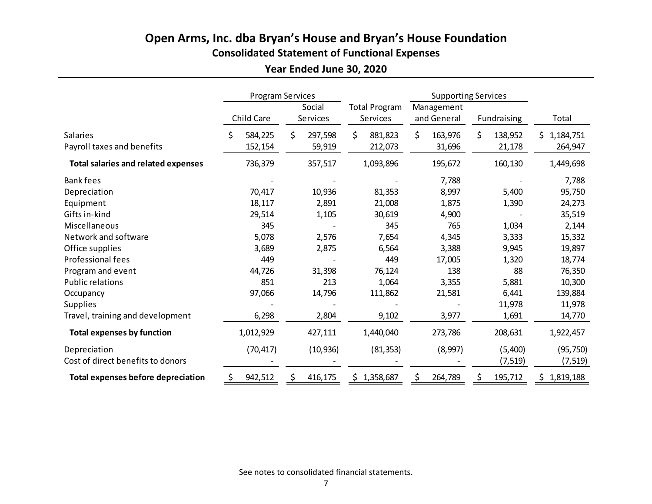## **Open Arms, Inc. dba Bryan's House and Bryan's House Foundation Consolidated Statement of Functional Expenses**

## **Year Ended June 30, 2020**

|                                            | Program Services |                    |                                  |    | <b>Supporting Services</b> |    |             |                  |
|--------------------------------------------|------------------|--------------------|----------------------------------|----|----------------------------|----|-------------|------------------|
|                                            | Child Care       | Social<br>Services | <b>Total Program</b><br>Services |    | Management<br>and General  |    | Fundraising | Total            |
| <b>Salaries</b>                            | \$<br>584,225    | \$<br>297,598      | \$<br>881,823                    | \$ | 163,976                    | \$ | 138,952     | 1,184,751<br>\$. |
| Payroll taxes and benefits                 | 152,154          | 59,919             | 212,073                          |    | 31,696                     |    | 21,178      | 264,947          |
| <b>Total salaries and related expenses</b> | 736,379          | 357,517            | 1,093,896                        |    | 195,672                    |    | 160,130     | 1,449,698        |
| <b>Bank fees</b>                           |                  |                    |                                  |    | 7,788                      |    |             | 7,788            |
| Depreciation                               | 70,417           | 10,936             | 81,353                           |    | 8,997                      |    | 5,400       | 95,750           |
| Equipment                                  | 18,117           | 2,891              | 21,008                           |    | 1,875                      |    | 1,390       | 24,273           |
| Gifts in-kind                              | 29,514           | 1,105              | 30,619                           |    | 4,900                      |    |             | 35,519           |
| Miscellaneous                              | 345              |                    | 345                              |    | 765                        |    | 1,034       | 2,144            |
| Network and software                       | 5,078            | 2,576              | 7,654                            |    | 4,345                      |    | 3,333       | 15,332           |
| Office supplies                            | 3,689            | 2,875              | 6,564                            |    | 3,388                      |    | 9,945       | 19,897           |
| Professional fees                          | 449              |                    | 449                              |    | 17,005                     |    | 1,320       | 18,774           |
| Program and event                          | 44,726           | 31,398             | 76,124                           |    | 138                        |    | 88          | 76,350           |
| <b>Public relations</b>                    | 851              | 213                | 1,064                            |    | 3,355                      |    | 5,881       | 10,300           |
| Occupancy                                  | 97,066           | 14,796             | 111,862                          |    | 21,581                     |    | 6,441       | 139,884          |
| <b>Supplies</b>                            |                  |                    |                                  |    |                            |    | 11,978      | 11,978           |
| Travel, training and development           | 6,298            | 2,804              | 9,102                            |    | 3,977                      |    | 1,691       | 14,770           |
| <b>Total expenses by function</b>          | 1,012,929        | 427,111            | 1,440,040                        |    | 273,786                    |    | 208,631     | 1,922,457        |
| Depreciation                               | (70, 417)        | (10, 936)          | (81, 353)                        |    | (8,997)                    |    | (5,400)     | (95, 750)        |
| Cost of direct benefits to donors          |                  |                    |                                  |    |                            |    | (7, 519)    | (7, 519)         |
| <b>Total expenses before depreciation</b>  | \$<br>942,512    | \$<br>416,175      | \$1,358,687                      | \$ | 264,789                    | \$ | 195,712     | 1,819,188<br>\$. |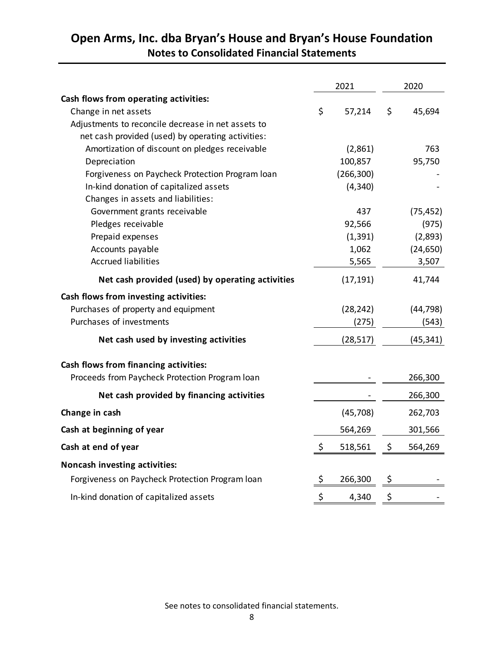|                                                    | 2021          | 2020          |
|----------------------------------------------------|---------------|---------------|
| Cash flows from operating activities:              |               |               |
| Change in net assets                               | \$<br>57,214  | \$<br>45,694  |
| Adjustments to reconcile decrease in net assets to |               |               |
| net cash provided (used) by operating activities:  |               |               |
| Amortization of discount on pledges receivable     | (2,861)       | 763           |
| Depreciation                                       | 100,857       | 95,750        |
| Forgiveness on Paycheck Protection Program loan    | (266, 300)    |               |
| In-kind donation of capitalized assets             | (4, 340)      |               |
| Changes in assets and liabilities:                 |               |               |
| Government grants receivable                       | 437           | (75, 452)     |
| Pledges receivable                                 | 92,566        | (975)         |
| Prepaid expenses                                   | (1, 391)      | (2,893)       |
| Accounts payable                                   | 1,062         | (24, 650)     |
| <b>Accrued liabilities</b>                         | 5,565         | 3,507         |
| Net cash provided (used) by operating activities   | (17, 191)     | 41,744        |
| Cash flows from investing activities:              |               |               |
| Purchases of property and equipment                | (28, 242)     | (44, 798)     |
| Purchases of investments                           | (275)         | (543)         |
| Net cash used by investing activities              | (28, 517)     | (45, 341)     |
| Cash flows from financing activities:              |               |               |
| Proceeds from Paycheck Protection Program loan     |               | 266,300       |
| Net cash provided by financing activities          |               | 266,300       |
| Change in cash                                     | (45, 708)     | 262,703       |
| Cash at beginning of year                          | 564,269       | 301,566       |
| Cash at end of year                                | \$<br>518,561 | \$<br>564,269 |
| Noncash investing activities:                      |               |               |
| Forgiveness on Paycheck Protection Program loan    | \$<br>266,300 | \$            |
| In-kind donation of capitalized assets             | \$<br>4,340   | \$            |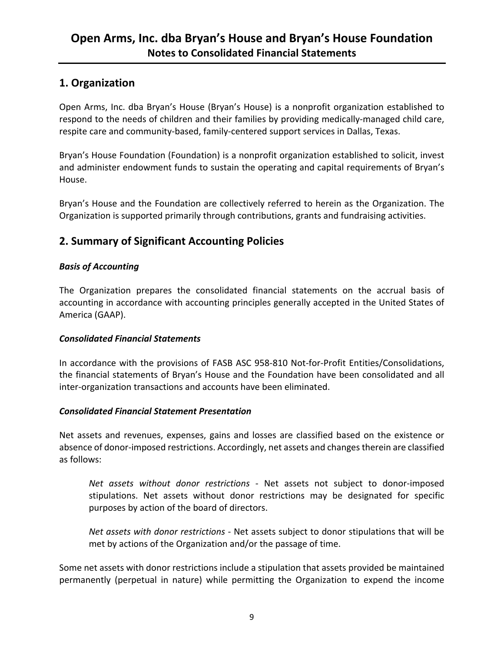### **1. Organization**

Open Arms, Inc. dba Bryan's House (Bryan's House) is a nonprofit organization established to respond to the needs of children and their families by providing medically-managed child care, respite care and community‐based, family‐centered support services in Dallas, Texas.

Bryan's House Foundation (Foundation) is a nonprofit organization established to solicit, invest and administer endowment funds to sustain the operating and capital requirements of Bryan's House.

Bryan's House and the Foundation are collectively referred to herein as the Organization. The Organization is supported primarily through contributions, grants and fundraising activities.

## **2. Summary of Significant Accounting Policies**

#### *Basis of Accounting*

The Organization prepares the consolidated financial statements on the accrual basis of accounting in accordance with accounting principles generally accepted in the United States of America (GAAP).

#### *Consolidated Financial Statements*

In accordance with the provisions of FASB ASC 958‐810 Not‐for‐Profit Entities/Consolidations, the financial statements of Bryan's House and the Foundation have been consolidated and all inter-organization transactions and accounts have been eliminated.

#### *Consolidated Financial Statement Presentation*

Net assets and revenues, expenses, gains and losses are classified based on the existence or absence of donor-imposed restrictions. Accordingly, net assets and changes therein are classified as follows:

*Net assets without donor restrictions* - Net assets not subject to donor-imposed stipulations. Net assets without donor restrictions may be designated for specific purposes by action of the board of directors.

*Net assets with donor restrictions* ‐ Net assets subject to donor stipulations that will be met by actions of the Organization and/or the passage of time.

Some net assets with donor restrictions include a stipulation that assets provided be maintained permanently (perpetual in nature) while permitting the Organization to expend the income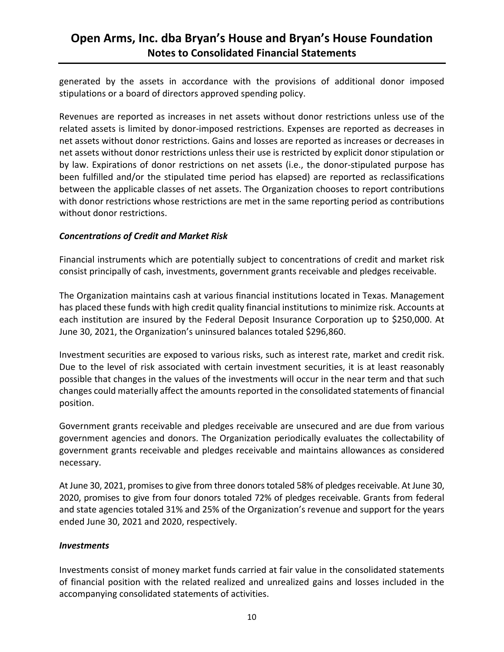generated by the assets in accordance with the provisions of additional donor imposed stipulations or a board of directors approved spending policy.

Revenues are reported as increases in net assets without donor restrictions unless use of the related assets is limited by donor‐imposed restrictions. Expenses are reported as decreases in net assets without donor restrictions. Gains and losses are reported as increases or decreases in net assets without donor restrictions unless their use is restricted by explicit donor stipulation or by law. Expirations of donor restrictions on net assets (i.e., the donor‐stipulated purpose has been fulfilled and/or the stipulated time period has elapsed) are reported as reclassifications between the applicable classes of net assets. The Organization chooses to report contributions with donor restrictions whose restrictions are met in the same reporting period as contributions without donor restrictions.

#### *Concentrations of Credit and Market Risk*

Financial instruments which are potentially subject to concentrations of credit and market risk consist principally of cash, investments, government grants receivable and pledges receivable.

The Organization maintains cash at various financial institutions located in Texas. Management has placed these funds with high credit quality financial institutions to minimize risk. Accounts at each institution are insured by the Federal Deposit Insurance Corporation up to \$250,000. At June 30, 2021, the Organization's uninsured balances totaled \$296,860.

Investment securities are exposed to various risks, such as interest rate, market and credit risk. Due to the level of risk associated with certain investment securities, it is at least reasonably possible that changes in the values of the investments will occur in the near term and that such changes could materially affect the amounts reported in the consolidated statements of financial position.

Government grants receivable and pledges receivable are unsecured and are due from various government agencies and donors. The Organization periodically evaluates the collectability of government grants receivable and pledges receivable and maintains allowances as considered necessary.

At June 30, 2021, promises to give from three donors totaled 58% of pledges receivable. At June 30, 2020, promises to give from four donors totaled 72% of pledges receivable. Grants from federal and state agencies totaled 31% and 25% of the Organization's revenue and support for the years ended June 30, 2021 and 2020, respectively.

#### *Investments*

Investments consist of money market funds carried at fair value in the consolidated statements of financial position with the related realized and unrealized gains and losses included in the accompanying consolidated statements of activities.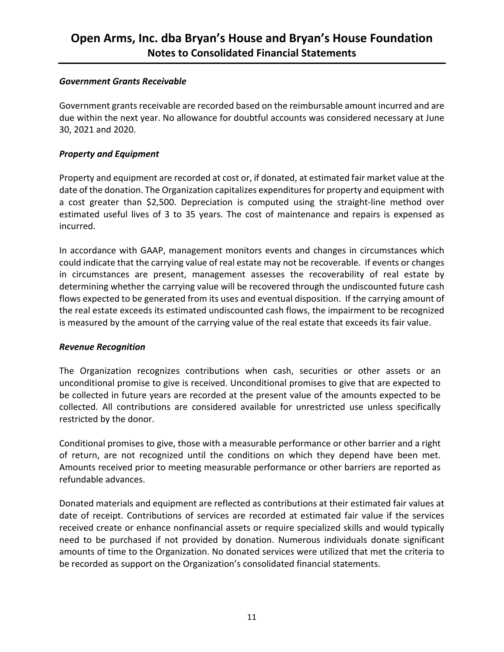#### *Government Grants Receivable*

Government grants receivable are recorded based on the reimbursable amount incurred and are due within the next year. No allowance for doubtful accounts was considered necessary at June 30, 2021 and 2020.

#### *Property and Equipment*

Property and equipment are recorded at cost or, if donated, at estimated fair market value at the date of the donation. The Organization capitalizes expenditures for property and equipment with a cost greater than \$2,500. Depreciation is computed using the straight-line method over estimated useful lives of 3 to 35 years. The cost of maintenance and repairs is expensed as incurred.

In accordance with GAAP, management monitors events and changes in circumstances which could indicate that the carrying value of real estate may not be recoverable. If events or changes in circumstances are present, management assesses the recoverability of real estate by determining whether the carrying value will be recovered through the undiscounted future cash flows expected to be generated from its uses and eventual disposition. If the carrying amount of the real estate exceeds its estimated undiscounted cash flows, the impairment to be recognized is measured by the amount of the carrying value of the real estate that exceeds its fair value.

#### *Revenue Recognition*

The Organization recognizes contributions when cash, securities or other assets or an unconditional promise to give is received. Unconditional promises to give that are expected to be collected in future years are recorded at the present value of the amounts expected to be collected. All contributions are considered available for unrestricted use unless specifically restricted by the donor.

Conditional promises to give, those with a measurable performance or other barrier and a right of return, are not recognized until the conditions on which they depend have been met. Amounts received prior to meeting measurable performance or other barriers are reported as refundable advances.

Donated materials and equipment are reflected as contributions at their estimated fair values at date of receipt. Contributions of services are recorded at estimated fair value if the services received create or enhance nonfinancial assets or require specialized skills and would typically need to be purchased if not provided by donation. Numerous individuals donate significant amounts of time to the Organization. No donated services were utilized that met the criteria to be recorded as support on the Organization's consolidated financial statements.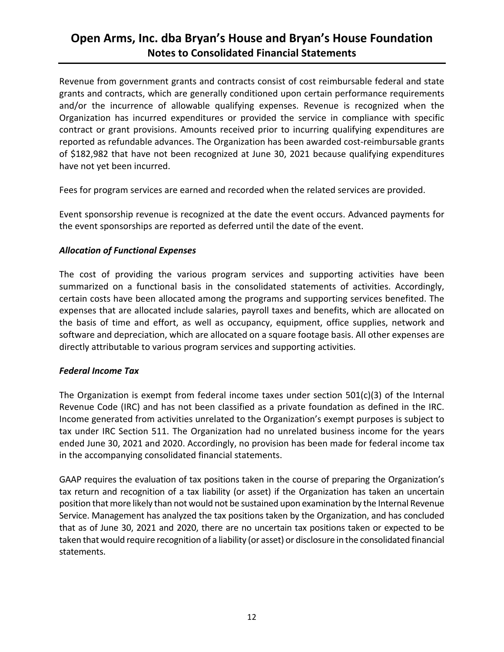Revenue from government grants and contracts consist of cost reimbursable federal and state grants and contracts, which are generally conditioned upon certain performance requirements and/or the incurrence of allowable qualifying expenses. Revenue is recognized when the Organization has incurred expenditures or provided the service in compliance with specific contract or grant provisions. Amounts received prior to incurring qualifying expenditures are reported as refundable advances. The Organization has been awarded cost-reimbursable grants of \$182,982 that have not been recognized at June 30, 2021 because qualifying expenditures have not yet been incurred.

Fees for program services are earned and recorded when the related services are provided.

Event sponsorship revenue is recognized at the date the event occurs. Advanced payments for the event sponsorships are reported as deferred until the date of the event.

#### *Allocation of Functional Expenses*

The cost of providing the various program services and supporting activities have been summarized on a functional basis in the consolidated statements of activities. Accordingly, certain costs have been allocated among the programs and supporting services benefited. The expenses that are allocated include salaries, payroll taxes and benefits, which are allocated on the basis of time and effort, as well as occupancy, equipment, office supplies, network and software and depreciation, which are allocated on a square footage basis. All other expenses are directly attributable to various program services and supporting activities.

#### *Federal Income Tax*

The Organization is exempt from federal income taxes under section 501(c)(3) of the Internal Revenue Code (IRC) and has not been classified as a private foundation as defined in the IRC. Income generated from activities unrelated to the Organization's exempt purposes is subject to tax under IRC Section 511. The Organization had no unrelated business income for the years ended June 30, 2021 and 2020. Accordingly, no provision has been made for federal income tax in the accompanying consolidated financial statements.

GAAP requires the evaluation of tax positions taken in the course of preparing the Organization's tax return and recognition of a tax liability (or asset) if the Organization has taken an uncertain position that more likely than not would not be sustained upon examination by the Internal Revenue Service. Management has analyzed the tax positions taken by the Organization, and has concluded that as of June 30, 2021 and 2020, there are no uncertain tax positions taken or expected to be taken that would require recognition of a liability (or asset) or disclosure in the consolidated financial statements.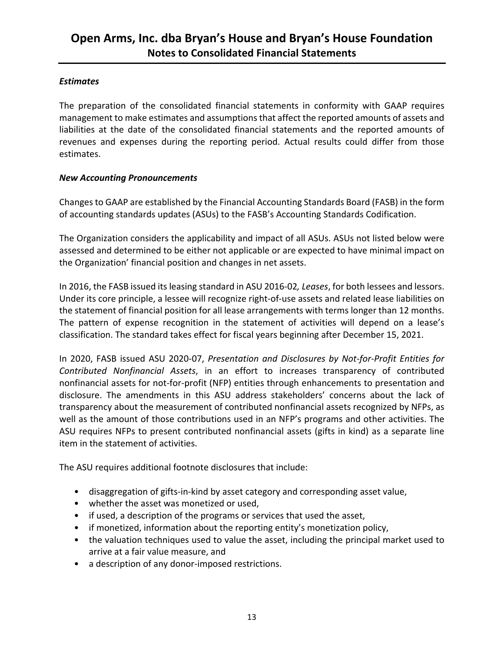#### *Estimates*

The preparation of the consolidated financial statements in conformity with GAAP requires management to make estimates and assumptions that affect the reported amounts of assets and liabilities at the date of the consolidated financial statements and the reported amounts of revenues and expenses during the reporting period. Actual results could differ from those estimates.

#### *New Accounting Pronouncements*

Changes to GAAP are established by the Financial Accounting Standards Board (FASB) in the form of accounting standards updates (ASUs) to the FASB's Accounting Standards Codification.

The Organization considers the applicability and impact of all ASUs. ASUs not listed below were assessed and determined to be either not applicable or are expected to have minimal impact on the Organization' financial position and changes in net assets.

In 2016, the FASB issued its leasing standard in ASU 2016‐02*, Leases*, for both lessees and lessors. Under its core principle, a lessee will recognize right‐of‐use assets and related lease liabilities on the statement of financial position for all lease arrangements with terms longer than 12 months. The pattern of expense recognition in the statement of activities will depend on a lease's classification. The standard takes effect for fiscal years beginning after December 15, 2021.

In 2020, FASB issued ASU 2020‐07, *Presentation and Disclosures by Not‐for‐Profit Entities for Contributed Nonfinancial Assets*, in an effort to increases transparency of contributed nonfinancial assets for not-for-profit (NFP) entities through enhancements to presentation and disclosure. The amendments in this ASU address stakeholders' concerns about the lack of transparency about the measurement of contributed nonfinancial assets recognized by NFPs, as well as the amount of those contributions used in an NFP's programs and other activities. The ASU requires NFPs to present contributed nonfinancial assets (gifts in kind) as a separate line item in the statement of activities.

The ASU requires additional footnote disclosures that include:

- disaggregation of gifts-in-kind by asset category and corresponding asset value,
- whether the asset was monetized or used,
- if used, a description of the programs or services that used the asset,
- if monetized, information about the reporting entity's monetization policy,
- the valuation techniques used to value the asset, including the principal market used to arrive at a fair value measure, and
- a description of any donor-imposed restrictions.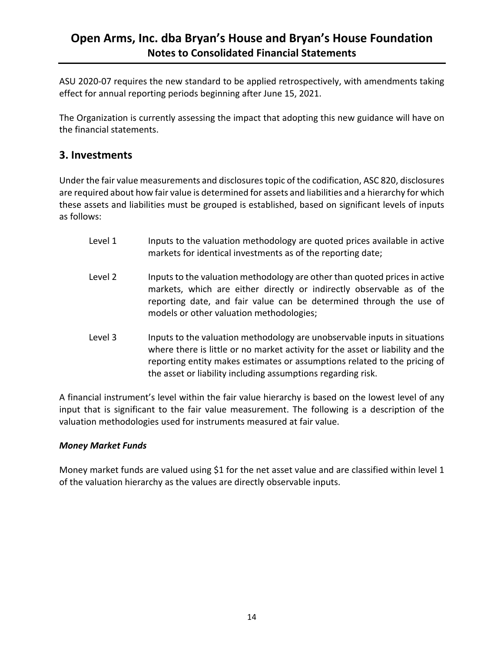ASU 2020‐07 requires the new standard to be applied retrospectively, with amendments taking effect for annual reporting periods beginning after June 15, 2021.

The Organization is currently assessing the impact that adopting this new guidance will have on the financial statements.

### **3. Investments**

Under the fair value measurements and disclosures topic of the codification, ASC 820, disclosures are required about how fair value is determined for assets and liabilities and a hierarchy for which these assets and liabilities must be grouped is established, based on significant levels of inputs as follows:

- Level 1 **Inputs to the valuation methodology are quoted prices available in active** markets for identical investments as of the reporting date;
- Level 2 Inputs to the valuation methodology are other than quoted prices in active markets, which are either directly or indirectly observable as of the reporting date, and fair value can be determined through the use of models or other valuation methodologies;
- Level 3 **Inputs to the valuation methodology are unobservable inputs in situations** where there is little or no market activity for the asset or liability and the reporting entity makes estimates or assumptions related to the pricing of the asset or liability including assumptions regarding risk.

A financial instrument's level within the fair value hierarchy is based on the lowest level of any input that is significant to the fair value measurement. The following is a description of the valuation methodologies used for instruments measured at fair value.

#### *Money Market Funds*

Money market funds are valued using \$1 for the net asset value and are classified within level 1 of the valuation hierarchy as the values are directly observable inputs.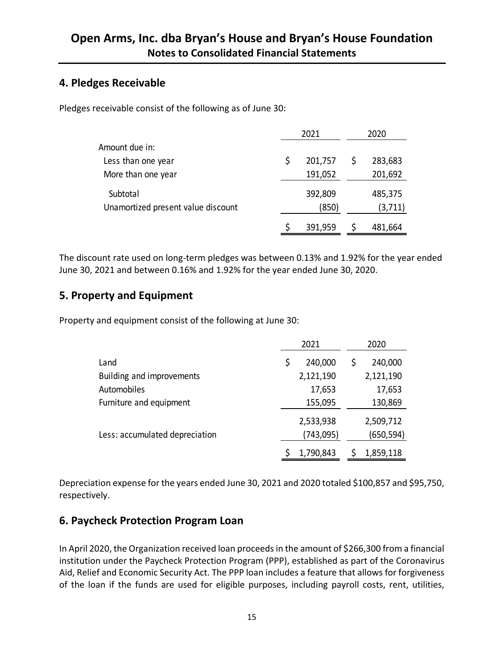### **4. Pledges Receivable**

Pledges receivable consist of the following as of June 30:

|                                                | 2021             | 2020 |                    |  |
|------------------------------------------------|------------------|------|--------------------|--|
| Amount due in:                                 |                  |      |                    |  |
| Less than one year                             | \$<br>201,757    |      | 283,683            |  |
| More than one year                             | 191,052          |      | 201,692            |  |
| Subtotal<br>Unamortized present value discount | 392,809<br>(850) |      | 485,375<br>(3,711) |  |
|                                                | 391,959          |      | 481,664            |  |

The discount rate used on long‐term pledges was between 0.13% and 1.92% for the year ended June 30, 2021 and between 0.16% and 1.92% for the year ended June 30, 2020.

## **5. Property and Equipment**

Property and equipment consist of the following at June 30:

|                                | 2021                   | 2020                    |
|--------------------------------|------------------------|-------------------------|
| Land                           | \$<br>240,000          | 240,000                 |
| Building and improvements      | 2,121,190              | 2,121,190               |
| Automobiles                    | 17,653                 | 17,653                  |
| Furniture and equipment        | 155,095                | 130,869                 |
| Less: accumulated depreciation | 2,533,938<br>(743,095) | 2,509,712<br>(650, 594) |
|                                | 1,790,843              | 1,859,118               |

Depreciation expense for the years ended June 30, 2021 and 2020 totaled \$100,857 and \$95,750, respectively.

## **6. Paycheck Protection Program Loan**

In April 2020, the Organization received loan proceeds in the amount of \$266,300 from a financial institution under the Paycheck Protection Program (PPP), established as part of the Coronavirus Aid, Relief and Economic Security Act. The PPP loan includes a feature that allows for forgiveness of the loan if the funds are used for eligible purposes, including payroll costs, rent, utilities,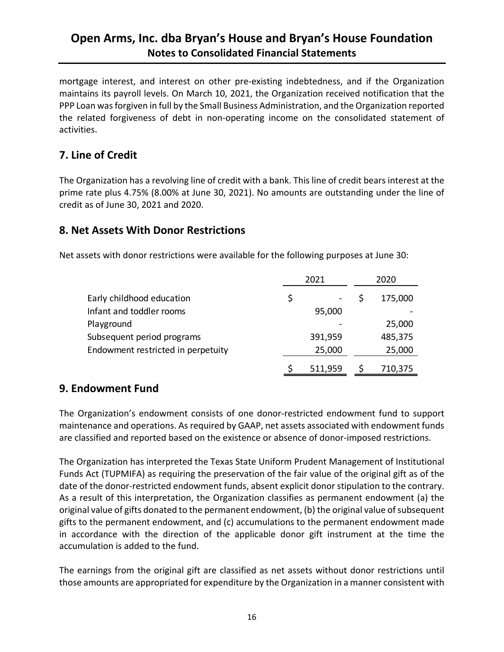mortgage interest, and interest on other pre‐existing indebtedness, and if the Organization maintains its payroll levels. On March 10, 2021, the Organization received notification that the PPP Loan was forgiven in full by the Small Business Administration, and the Organization reported the related forgiveness of debt in non‐operating income on the consolidated statement of activities.

## **7. Line of Credit**

The Organization has a revolving line of credit with a bank. This line of credit bears interest at the prime rate plus 4.75% (8.00% at June 30, 2021). No amounts are outstanding under the line of credit as of June 30, 2021 and 2020.

### **8. Net Assets With Donor Restrictions**

Net assets with donor restrictions were available for the following purposes at June 30:

|                                    | 2021    | 2020 |         |  |
|------------------------------------|---------|------|---------|--|
| Early childhood education          | \$      |      | 175,000 |  |
| Infant and toddler rooms           | 95,000  |      |         |  |
| Playground                         |         |      | 25,000  |  |
| Subsequent period programs         | 391,959 |      | 485,375 |  |
| Endowment restricted in perpetuity | 25,000  |      | 25,000  |  |
|                                    | 511,959 |      | 710,375 |  |

## **9. Endowment Fund**

The Organization's endowment consists of one donor‐restricted endowment fund to support maintenance and operations. As required by GAAP, net assets associated with endowment funds are classified and reported based on the existence or absence of donor-imposed restrictions.

The Organization has interpreted the Texas State Uniform Prudent Management of Institutional Funds Act (TUPMIFA) as requiring the preservation of the fair value of the original gift as of the date of the donor-restricted endowment funds, absent explicit donor stipulation to the contrary. As a result of this interpretation, the Organization classifies as permanent endowment (a) the original value of gifts donated to the permanent endowment, (b) the original value of subsequent gifts to the permanent endowment, and (c) accumulations to the permanent endowment made in accordance with the direction of the applicable donor gift instrument at the time the accumulation is added to the fund.

The earnings from the original gift are classified as net assets without donor restrictions until those amounts are appropriated for expenditure by the Organization in a manner consistent with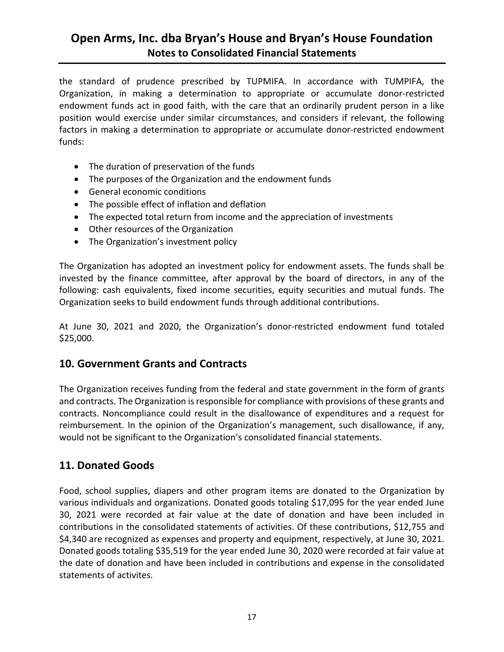the standard of prudence prescribed by TUPMIFA. In accordance with TUMPIFA, the Organization, in making a determination to appropriate or accumulate donor-restricted endowment funds act in good faith, with the care that an ordinarily prudent person in a like position would exercise under similar circumstances, and considers if relevant, the following factors in making a determination to appropriate or accumulate donor-restricted endowment funds:

- The duration of preservation of the funds
- The purposes of the Organization and the endowment funds
- General economic conditions
- The possible effect of inflation and deflation
- The expected total return from income and the appreciation of investments
- Other resources of the Organization
- The Organization's investment policy

The Organization has adopted an investment policy for endowment assets. The funds shall be invested by the finance committee, after approval by the board of directors, in any of the following: cash equivalents, fixed income securities, equity securities and mutual funds. The Organization seeks to build endowment funds through additional contributions.

At June 30, 2021 and 2020, the Organization's donor‐restricted endowment fund totaled \$25,000.

#### **10. Government Grants and Contracts**

The Organization receives funding from the federal and state government in the form of grants and contracts. The Organization is responsible for compliance with provisions of these grants and contracts. Noncompliance could result in the disallowance of expenditures and a request for reimbursement. In the opinion of the Organization's management, such disallowance, if any, would not be significant to the Organization's consolidated financial statements.

### **11. Donated Goods**

Food, school supplies, diapers and other program items are donated to the Organization by various individuals and organizations. Donated goods totaling \$17,095 for the year ended June 30, 2021 were recorded at fair value at the date of donation and have been included in contributions in the consolidated statements of activities. Of these contributions, \$12,755 and \$4,340 are recognized as expenses and property and equipment, respectively, at June 30, 2021. Donated goods totaling \$35,519 for the year ended June 30, 2020 were recorded at fair value at the date of donation and have been included in contributions and expense in the consolidated statements of activites.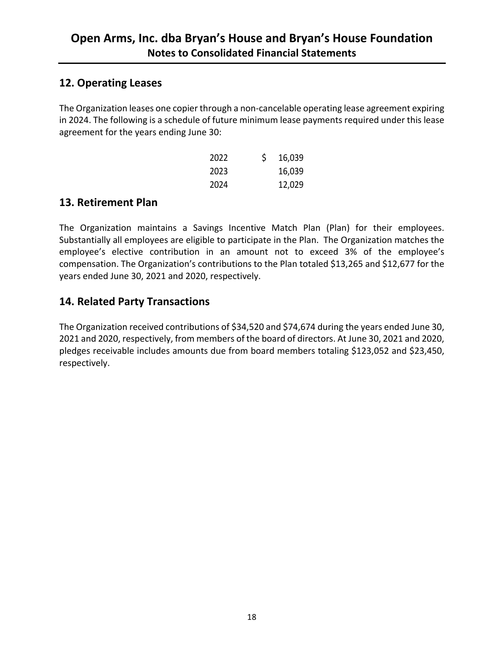### **12. Operating Leases**

The Organization leases one copier through a non‐cancelable operating lease agreement expiring in 2024. The following is a schedule of future minimum lease payments required under this lease agreement for the years ending June 30:

| 2022 | \$<br>16,039 |
|------|--------------|
| 2023 | 16,039       |
| 2024 | 12,029       |

### **13. Retirement Plan**

The Organization maintains a Savings Incentive Match Plan (Plan) for their employees. Substantially all employees are eligible to participate in the Plan. The Organization matches the employee's elective contribution in an amount not to exceed 3% of the employee's compensation. The Organization's contributions to the Plan totaled \$13,265 and \$12,677 for the years ended June 30, 2021 and 2020, respectively.

## **14. Related Party Transactions**

The Organization received contributions of \$34,520 and \$74,674 during the years ended June 30, 2021 and 2020, respectively, from members of the board of directors. At June 30, 2021 and 2020, pledges receivable includes amounts due from board members totaling \$123,052 and \$23,450, respectively.